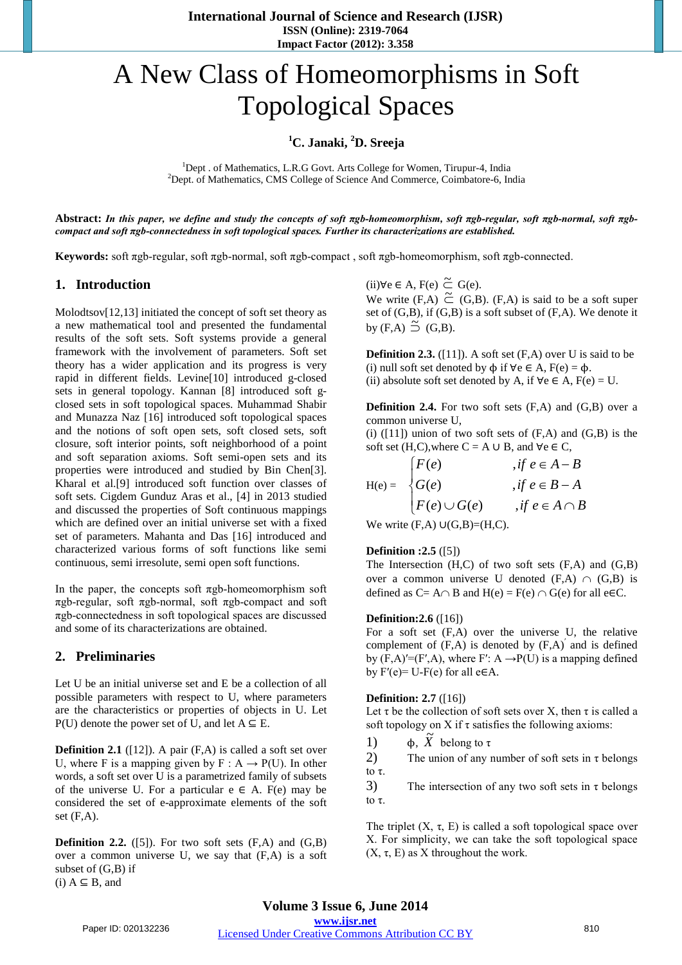# A New Class of Homeomorphisms in Soft Topological Spaces

# <sup>1</sup>C. Janaki, <sup>2</sup>D. Sreeja

<sup>1</sup>Dept . of Mathematics, L.R.G Govt. Arts College for Women, Tirupur-4, India <sup>2</sup>Dept of Mathematics, CMS College of Science And Commerce, Coimbators 6, In <sup>2</sup>Dept. of Mathematics, CMS College of Science And Commerce, Coimbatore-6, India

**Abstract:** *In this paper, we define and study the concepts of soft πgb-homeomorphism, soft πgb-regular, soft πgb-normal, soft πgbcompact and soft πgb-connectedness in soft topological spaces. Further its characterizations are established.* 

**Keywords:** soft πgb-regular, soft πgb-normal, soft πgb-compact , soft πgb-homeomorphism, soft πgb-connected.

#### **1. Introduction**

Molodtsov[12,13] initiated the concept of soft set theory as a new mathematical tool and presented the fundamental results of the soft sets. Soft systems provide a general framework with the involvement of parameters. Soft set theory has a wider application and its progress is very rapid in different fields. Levine[10] introduced g-closed sets in general topology. Kannan [8] introduced soft gclosed sets in soft topological spaces. Muhammad Shabir and Munazza Naz [16] introduced soft topological spaces and the notions of soft open sets, soft closed sets, soft closure, soft interior points, soft neighborhood of a point and soft separation axioms. Soft semi-open sets and its properties were introduced and studied by Bin Chen[3]. Kharal et al.[9] introduced soft function over classes of soft sets. Cigdem Gunduz Aras et al., [4] in 2013 studied and discussed the properties of Soft continuous mappings which are defined over an initial universe set with a fixed set of parameters. Mahanta and Das [16] introduced and characterized various forms of soft functions like semi continuous, semi irresolute, semi open soft functions.

In the paper, the concepts soft  $\pi$ gb-homeomorphism soft πgb-regular, soft πgb-normal, soft πgb-compact and soft πgb-connectedness in soft topological spaces are discussed and some of its characterizations are obtained.

## **2. Preliminaries**

Let U be an initial universe set and E be a collection of all possible parameters with respect to U, where parameters are the characteristics or properties of objects in U. Let P(U) denote the power set of U, and let  $A \subseteq E$ .

**Definition 2.1** ([12]). A pair (F,A) is called a soft set over U, where F is a mapping given by  $F : A \rightarrow P(U)$ . In other words, a soft set over U is a parametrized family of subsets of the universe U. For a particular  $e \in A$ . F(e) may be considered the set of e-approximate elements of the soft set  $(F,A)$ .

**Definition 2.2.** ([5]). For two soft sets  $(F,A)$  and  $(G,B)$ over a common universe U, we say that (F,A) is a soft subset of (G,B) if  $(i)$  A  $\subseteq$  B, and

 $(ii)$ ∀e ∈ A, F(e)  $\tilde{\subset}$  G(e). We write  $(F,A) \subseteq G(S)$ .  $(F,A)$  is said to be a soft super set of  $(G,B)$ , if  $(G,B)$  is a soft subset of  $(F,A)$ . We denote it by  $(F,A) \preceq (G,B)$ .

**Definition 2.3.** ([11]). A soft set  $(F, A)$  over U is said to be (i) null soft set denoted by  $\phi$  if  $\forall e \in A$ ,  $F(e) = \phi$ . (ii) absolute soft set denoted by A, if  $\forall e \in A$ ,  $F(e) = U$ .

**Definition 2.4.** For two soft sets (F,A) and (G,B) over a common universe U,

(i)  $([11])$  union of two soft sets of  $(F,A)$  and  $(G,B)$  is the soft set (H,C),where  $C = A \cup B$ , and  $\forall e \in C$ ,

$$
H(e) = \begin{cases} F(e) & , if \ e \in A - B \\ G(e) & , if \ e \in B - A \\ F(e) \cup G(e) & , if \ e \in A \cap B \end{cases}
$$

We write  $(F,A) \cup (G,B) = (H,C)$ .

#### **Definition :2.5** ([5])

The Intersection (H,C) of two soft sets (F,A) and (G,B) over a common universe U denoted  $(F,A) \cap (G,B)$  is defined as C= A∩ B and H(e) = F(e) ∩ G(e) for all e $\in$ C.

#### **Definition:2.6** ([16])

For a soft set (F,A) over the universe U, the relative complement of  $(F,A)$  is denoted by  $(F,A)$ <sup>'</sup> and is defined by  $(F,A)'=(F',A)$ , where  $F'$ :  $A \rightarrow P(U)$  is a mapping defined by  $F'(e) = U - F(e)$  for all  $e \in A$ .

#### **Definition: 2.7** ([16])

Let  $\tau$  be the collection of soft sets over X, then  $\tau$  is called a soft topology on X if  $\tau$  satisfies the following axioms:

1)  $\phi$ ,  $\tilde{X}$  belong to τ

2) The union of any number of soft sets in  $\tau$  belongs to τ.

3) The intersection of any two soft sets in  $\tau$  belongs to τ.

The triplet  $(X, \tau, E)$  is called a soft topological space over X. For simplicity, we can take the soft topological space  $(X, \tau, E)$  as X throughout the work.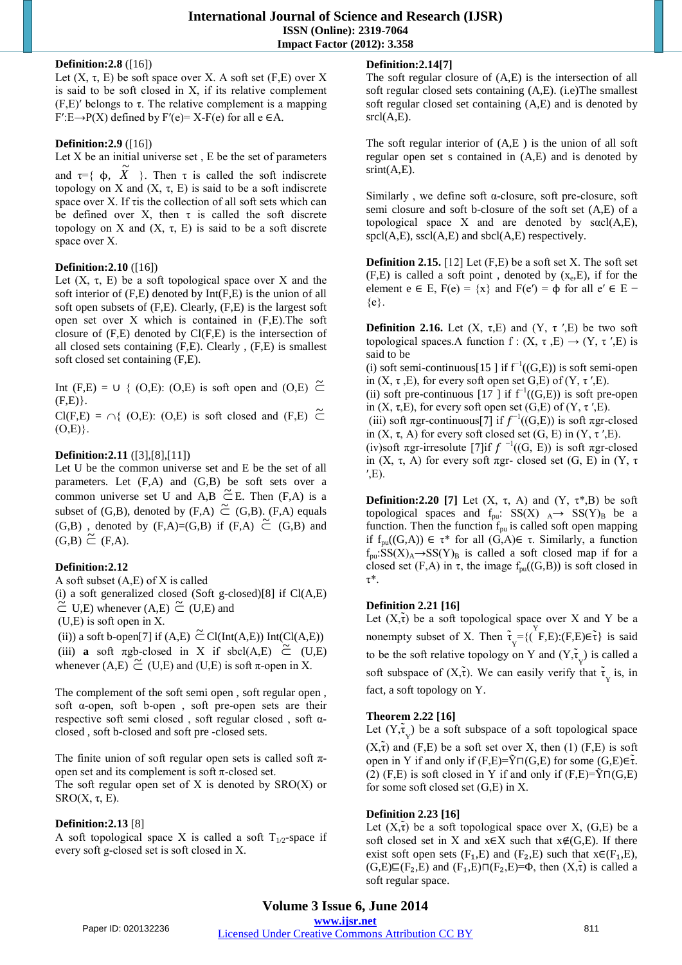#### **Definition:2.8** ([16])

Let  $(X, \tau, E)$  be soft space over X. A soft set  $(F, E)$  over X is said to be soft closed in X, if its relative complement (F,E)′ belongs to τ. The relative complement is a mapping  $F' : E \rightarrow P(X)$  defined by  $F'(e) = X - F(e)$  for all  $e \in A$ .

# **Definition:2.9** ([16])

Let  $X$  be an initial universe set,  $E$  be the set of parameters

and  $\tau = \{ \phi, \tilde{X} \}$ . Then  $\tau$  is called the soft indiscrete topology on X and  $(X, \tau, E)$  is said to be a soft indiscrete space over X. If τis the collection of all soft sets which can be defined over X, then  $\tau$  is called the soft discrete topology on X and  $(X, \tau, E)$  is said to be a soft discrete space over X.

# **Definition:2.10** ([16])

Let  $(X, \tau, E)$  be a soft topological space over X and the soft interior of (F,E) denoted by Int(F,E) is the union of all soft open subsets of (F,E). Clearly, (F,E) is the largest soft open set over X which is contained in (F,E).The soft closure of (F,E) denoted by Cl(F,E) is the intersection of all closed sets containing (F,E). Clearly , (F,E) is smallest soft closed set containing (F,E).

Int (F,E) =  $\cup$  { (O,E): (O,E) is soft open and (O,E)  $\tilde{C}$  $(F,E)$ .

 $Cl(F,E) = \bigcap \{ (O,E): (O,E) \text{ is soft closed and } (F,E) \subseteq$  $(O,E)$ .

# **Definition:2.11** ([3],[8],[11])

Let U be the common universe set and E be the set of all parameters. Let (F,A) and (G,B) be soft sets over a common universe set U and A,B  $\tilde{\subset}$  E. Then (F,A) is a subset of (G,B), denoted by (F,A)  $\tilde{\subset}$  (G,B). (F,A) equals (G,B), denoted by  $(F,A)=(G,B)$  if  $(F,A) \subseteq (G,B)$  and  $(G,B) \tilde{\subset} (F,A).$ 

## **Definition:2.12**

A soft subset (A,E) of X is called

(i) a soft generalized closed (Soft g-closed)[8] if  $Cl(A,E)$  $\tilde{C}$  U,E) whenever (A,E)  $\tilde{C}$  (U,E) and

(U,E) is soft open in X.

(ii)) a soft b-open[7] if (A,E)  $\tilde{\subset}$  Cl(Int(A,E)) Int(Cl(A,E)) (iii) **a** soft  $\pi$ gb-closed in X if sbcl(A,E)  $\tilde{C}$  (U,E) whenever  $(A,E) \tilde{\subset} (U,E)$  and  $(U,E)$  is soft  $\pi$ -open in X.

The complement of the soft semi open , soft regular open , soft α-open, soft b-open , soft pre-open sets are their respective soft semi closed , soft regular closed , soft αclosed , soft b-closed and soft pre -closed sets.

The finite union of soft regular open sets is called soft  $\pi$ open set and its complement is soft π-closed set.

The soft regular open set of  $X$  is denoted by  $SRO(X)$  or SRO $(X, \tau, E)$ .

# **Definition:2.13** [8]

A soft topological space X is called a soft  $T_{1/2}$ -space if every soft g-closed set is soft closed in X.

# **Definition:2.14[7]**

The soft regular closure of (A,E) is the intersection of all soft regular closed sets containing (A,E). (i.e)The smallest soft regular closed set containing (A,E) and is denoted by  $srcl(A,E)$ .

The soft regular interior of (A,E ) is the union of all soft regular open set s contained in (A,E) and is denoted by  $srint(A,E)$ .

Similarly, we define soft  $\alpha$ -closure, soft pre-closure, soft semi closure and soft b-closure of the soft set (A,E) of a topological space X and are denoted by  $s\alpha cI(A,E)$ ,  $spcl(A, E)$ ,  $sscl(A, E)$  and  $sbcl(A, E)$  respectively.

**Definition 2.15.** [12] Let (F,E) be a soft set X. The soft set  $(F,E)$  is called a soft point, denoted by  $(x_e,E)$ , if for the element e ∈ E,  $F(e) = \{x\}$  and  $F(e') = \phi$  for all e' ∈ E –  ${e}.$ 

**Definition 2.16.** Let  $(X, \tau, E)$  and  $(Y, \tau', E)$  be two soft topological spaces.A function f :  $(X, \tau, E) \rightarrow (Y, \tau', E)$  is said to be

(i) soft semi-continuous[15 ] if  $f^{-1}((G,E))$  is soft semi-open in  $(X, \tau, E)$ , for every soft open set G,E) of  $(Y, \tau', E)$ .

(ii) soft pre-continuous [17 ] if  $f^{-1}((G,E))$  is soft pre-open in  $(X, \tau, E)$ , for every soft open set  $(G, E)$  of  $(Y, \tau', E)$ .

(iii) soft πgr-continuous[7] if  $f^{-1}((G,E))$  is soft πgr-closed in  $(X, \tau, A)$  for every soft closed set  $(G, E)$  in  $(Y, \tau', E)$ .

(iv)soft πgr-irresolute [7]if  $f^{-1}((G, E))$  is soft πgr-closed in  $(X, \tau, A)$  for every soft πgr- closed set  $(G, E)$  in  $(Y, \tau)$  $'$ ,E).

**Definition:2.20 [7]** Let  $(X, \tau, A)$  and  $(Y, \tau^*, B)$  be soft topological spaces and  $f_{\text{pu}}$ : SS(X)  $_A \rightarrow$  SS(Y)<sub>B</sub> be a function. Then the function  $f_{pu}$  is called soft open mapping if fpu((G,A)) ∈ τ\* for all (G,A)∈ τ. Similarly, a function  $f_{pu}:SS(X)<sub>A</sub>\rightarrow SS(Y)<sub>B</sub>$  is called a soft closed map if for a closed set  $(F,A)$  in  $\tau$ , the image  $f_{\text{pu}}((G,B))$  is soft closed in τ\*.

# **Definition 2.21 [16]**

Let  $(X, \tilde{\tau})$  be a soft topological space over X and Y be a nonempty subset of X. Then  $\tilde{\tau}_Y = \{(\tilde{F}, E): (F, E) \in \tilde{\tau}\}\)$  is said to be the soft relative topology on Y and  $(Y, \tau_Y)$  is called a soft subspace of  $(X,\tilde{\tau})$ . We can easily verify that  $\tilde{\tau}_{y}$  is, in fact, a soft topology on Y.

## **Theorem 2.22 [16]**

Let  $(Y, \tau_Y)$  be a soft subspace of a soft topological space  $(X,\tilde{\tau})$  and  $(F,E)$  be a soft set over X, then (1)  $(F,E)$  is soft open in Y if and only if  $(F,E)=\tilde{Y}\Pi(G,E)$  for some  $(G,E)\in \tilde{\tau}$ . (2) (F,E) is soft closed in Y if and only if  $(F,E)=\tilde{Y}\Pi(G,E)$ for some soft closed set (G,E) in X.

## **Definition 2.23 [16]**

Let  $(X, \tilde{\tau})$  be a soft topological space over X,  $(G, E)$  be a soft closed set in X and  $x \in X$  such that  $x \notin (G, E)$ . If there exist soft open sets  $(F_1,E)$  and  $(F_2,E)$  such that  $x \in (F_1,E)$ ,  $(G,E)\sqsubseteq (F_2,E)$  and  $(F_1,E)\sqcap (F_2,E)=\Phi$ , then  $(X,\tilde{\tau})$  is called a soft regular space.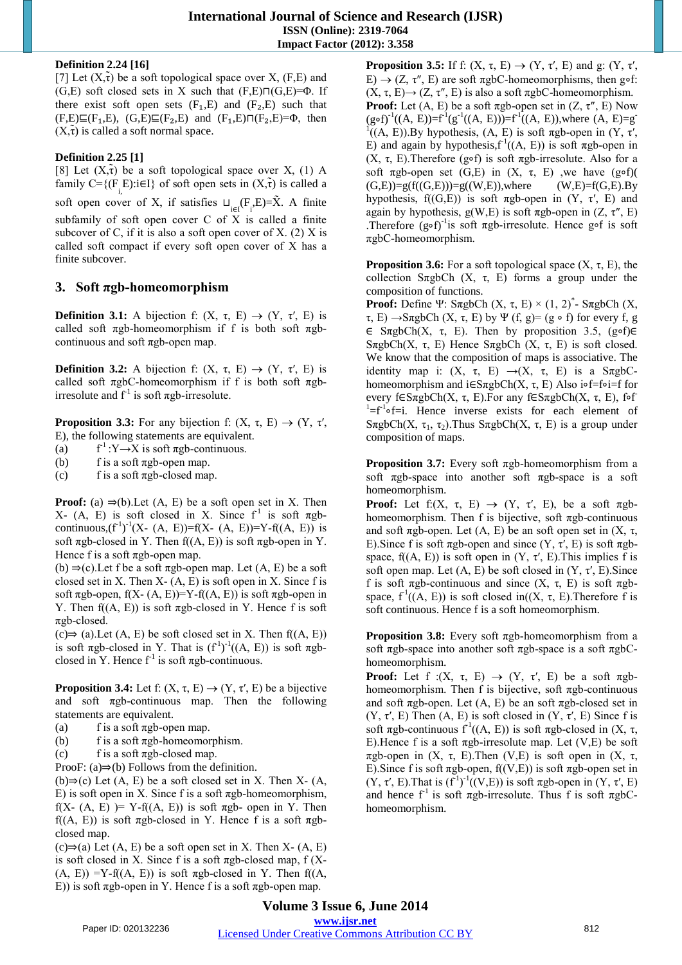#### **Definition 2.24 [16]**

[7] Let  $(X,\tau)$  be a soft topological space over X,  $(F,E)$  and (G,E) soft closed sets in X such that  $(F, E) \Pi(G, E) = \Phi$ . If there exist soft open sets  $(F_1,E)$  and  $(F_2,E)$  such that  $(F,E)\sqsubseteq(F_1,E)$ ,  $(G,E)\sqsubseteq(F_2,E)$  and  $(F_1,E)\sqcap(F_2,E)=\Phi$ , then  $(X,\tilde{\tau})$  is called a soft normal space.

# **Definition 2.25 [1]**

[8] Let  $(X, \tilde{\tau})$  be a soft topological space over X, (1) A family  $C = \{ (F_i, E) : i \in I \}$  of soft open sets in  $(X, \tau)$  is called a soft open cover of X, if satisfies  $\sqcup_{i\in I} (F_i, E)=\tilde{X}$ . A finite subfamily of soft open cover C of X is called a finite subcover of C, if it is also a soft open cover of X.  $(2)$  X is called soft compact if every soft open cover of X has a finite subcover.

# **3. Soft πgb-homeomorphism**

**Definition 3.1:** A bijection f:  $(X, \tau, E) \rightarrow (Y, \tau', E)$  is called soft  $\pi$ gb-homeomorphism if f is both soft  $\pi$ gbcontinuous and soft πgb-open map.

**Definition 3.2:** A bijection f:  $(X, \tau, E) \rightarrow (Y, \tau', E)$  is called soft  $\pi$ gbC-homeomorphism if f is both soft  $\pi$ gbirresolute and  $f<sup>1</sup>$  is soft  $\pi$ gb-irresolute.

**Proposition 3.3:** For any bijection f:  $(X, \tau, E) \rightarrow (Y, \tau', E)$ E), the following statements are equivalent.

- $(a)$  $f<sup>1</sup>:Y\rightarrow X$  is soft  $\pi$ gb-continuous.
- (b) f is a soft  $\pi$ gb-open map.
- (c) f is a soft  $\pi$ gb-closed map.

**Proof:** (a)  $\Rightarrow$ (b). Let (A, E) be a soft open set in X. Then X- (A, E) is soft closed in X. Since  $f^1$  is soft  $\pi g b$ continuous,  $(f^{-1})^{-1}(X - (A, E)) = f(X - (A, E)) = Y - f((A, E))$  is soft  $\pi$ gb-closed in Y. Then f((A, E)) is soft  $\pi$ gb-open in Y. Hence f is a soft  $\pi$ gb-open map.

(b)  $\Rightarrow$  (c). Let f be a soft  $\pi$ gb-open map. Let (A, E) be a soft closed set in X. Then  $X- (A, E)$  is soft open in X. Since f is soft  $\pi$ gb-open, f(X-(A, E))=Y-f((A, E)) is soft  $\pi$ gb-open in Y. Then  $f(A, E)$  is soft  $\pi$ gb-closed in Y. Hence f is soft πgb-closed.

 $(c) \Rightarrow$  (a). Let  $(A, E)$  be soft closed set in X. Then  $f((A, E))$ is soft  $\pi$ gb-closed in Y. That is  $(f<sup>1</sup>)<sup>-1</sup>((A, E))$  is soft  $\pi$ gbclosed in Y. Hence  $f^{-1}$  is soft  $\pi$ gb-continuous.

**Proposition 3.4:** Let f:  $(X, \tau, E) \rightarrow (Y, \tau', E)$  be a bijective and soft  $\pi$ gb-continuous map. Then the following statements are equivalent.

- (a) f is a soft  $\pi$ gb-open map.
- (b) f is a soft  $\pi$ gb-homeomorphism.
- (c) f is a soft  $\pi$ gb-closed map.

ProoF:  $(a) \Rightarrow (b)$  Follows from the definition.

(b)⇒(c) Let  $(A, E)$  be a soft closed set in X. Then X-  $(A, E)$ E) is soft open in X. Since f is a soft  $\pi$ gb-homeomorphism, f(X- (A, E) )= Y-f((A, E)) is soft  $\pi$ gb- open in Y. Then f( $(A, E)$ ) is soft  $\pi$ gb-closed in Y. Hence f is a soft  $\pi$ gbclosed map.

 $(c) \Rightarrow (a)$  Let  $(A, E)$  be a soft open set in X. Then X- $(A, E)$ is soft closed in X. Since f is a soft  $\pi$ gb-closed map, f (X- $(A, E)$ ) =Y-f((A, E)) is soft  $\pi$ gb-closed in Y. Then f((A, E)) is soft  $\pi$ gb-open in Y. Hence f is a soft  $\pi$ gb-open map.

**Proposition 3.5:** If f:  $(X, \tau, E) \rightarrow (Y, \tau', E)$  and g:  $(Y, \tau', E')$ E)  $\rightarrow$  (Z, τ'', E) are soft  $\pi$ gbC-homeomorphisms, then g∘f:  $(X, \tau, E) \rightarrow (Z, \tau'', E)$  is also a soft  $\pi g bC$ -homeomorphism. **Proof:** Let  $(A, E)$  be a soft  $\pi$ gb-open set in  $(Z, \tau'', E)$  Now  $(g \circ f)^{-1}((A, E)) = f^{-1}(g^{-1}((A, E))) = f^{-1}((A, E)),$  where  $(A, E) = g^{-1}(A)$  $\overline{1}((A, E)).$  By hypothesis,  $(A, E)$  is soft  $\pi$ gb-open in  $(Y, \tau', \tau')$ E) and again by hypothesis,  $f^1((A, E))$  is soft  $\pi$ gb-open in (X, τ, E). Therefore (g∘f) is soft πgb-irresolute. Also for a soft  $\pi$ gb-open set (G,E) in (X,  $\tau$ , E) ,we have (g∘f)(<br>(G,E))=g(f((G,E)))=g((W,E)),where (W,E)=f(G,E).By  $(G,E)=g(f((G,E)))=g((W,E)),$  where hypothesis,  $f((G,E))$  is soft  $\pi$ gb-open in  $(Y, \tau', E)$  and again by hypothesis,  $g(W, E)$  is soft  $\pi g b$ -open in  $(Z, \tau'', E)$ .Therefore (g∘f)<sup>-1</sup>is soft  $\pi$ gb-irresolute. Hence g∘f is soft πgbC-homeomorphism.

**Proposition 3.6:** For a soft topological space  $(X, \tau, E)$ , the collection S $\pi$ gbCh (X,  $\tau$ , E) forms a group under the composition of functions.

**Proof:** Define Ψ: SπgbCh  $(X, \tau, E) \times (1, 2)^*$ - SπgbCh  $(X, \tau, E)$ τ, E) →SπgbCh (X, τ, E) by Ψ (f, g)= (g ∘ f) for every f, g ∈ SπgbCh(X, τ, E). Then by proposition 3.5, (g∘f)∈ SπgbCh(X, τ, E) Hence SπgbCh (X, τ, E) is soft closed. We know that the composition of maps is associative. The identity map i:  $(X, \tau, E) \rightarrow (X, \tau, E)$  is a S $\pi$ gbChomeomorphism and i∈SπgbCh(X, τ, E) Also i∘f=f∘i=f for every f∈SπgbCh(X, τ, E). For any f∈SπgbCh(X, τ, E), f∘f  $\left[1 - f^{-1} \circ f = i\right]$ . Hence inverse exists for each element of SπgbCh(X, τ<sub>1</sub>, τ<sub>2</sub>). Thus SπgbCh(X, τ, E) is a group under composition of maps.

**Proposition 3.7:** Every soft πgb-homeomorphism from a soft πgb-space into another soft πgb-space is a soft homeomorphism.

**Proof:** Let  $f:(X, \tau, E) \rightarrow (Y, \tau', E)$ , be a soft  $\pi g b$ homeomorphism. Then f is bijective, soft  $\pi$ gb-continuous and soft  $\pi$ gb-open. Let  $(A, E)$  be an soft open set in  $(X, \tau)$ , E). Since f is soft  $\pi$ gb-open and since  $(Y, \tau', E)$  is soft  $\pi$ gbspace,  $f((A, E))$  is soft open in  $(Y, \tau', E)$ . This implies f is soft open map. Let  $(A, E)$  be soft closed in  $(Y, \tau', E)$ . Since f is soft  $\pi$ gb-continuous and since  $(X, \tau, E)$  is soft  $\pi$ gbspace,  $f^1((A, E))$  is soft closed in( $(X, \tau, E)$ ). Therefore f is soft continuous. Hence f is a soft homeomorphism.

**Proposition 3.8:** Every soft πgb-homeomorphism from a soft  $\pi$ gb-space into another soft  $\pi$ gb-space is a soft  $\pi$ gbChomeomorphism.

**Proof:** Let f :(X,  $\tau$ , E)  $\rightarrow$  (Y,  $\tau'$ , E) be a soft  $\pi$ gbhomeomorphism. Then f is bijective, soft  $\pi$ gb-continuous and soft  $\pi$ gb-open. Let  $(A, E)$  be an soft  $\pi$ gb-closed set in (Y,  $\tau'$ , E) Then (A, E) is soft closed in (Y,  $\tau'$ , E) Since f is soft  $\pi$ gb-continuous f<sup>-1</sup>((A, E)) is soft  $\pi$ gb-closed in (X,  $\tau$ , E). Hence f is a soft  $\pi$ gb-irresolute map. Let  $(V,E)$  be soft πgb-open in  $(X, τ, E)$ . Then  $(V,E)$  is soft open in  $(X, τ, E)$ . E). Since f is soft  $\pi$ gb-open, f((V,E)) is soft  $\pi$ gb-open set in  $(Y, \tau, E)$ . That is  $(f<sup>1</sup>)<sup>-1</sup>((V,E))$  is soft  $\pi$ gb-open in  $(Y, \tau, E)$ and hence  $f<sup>1</sup>$  is soft  $\pi gh$ -irresolute. Thus f is soft  $\pi ghC$ homeomorphism.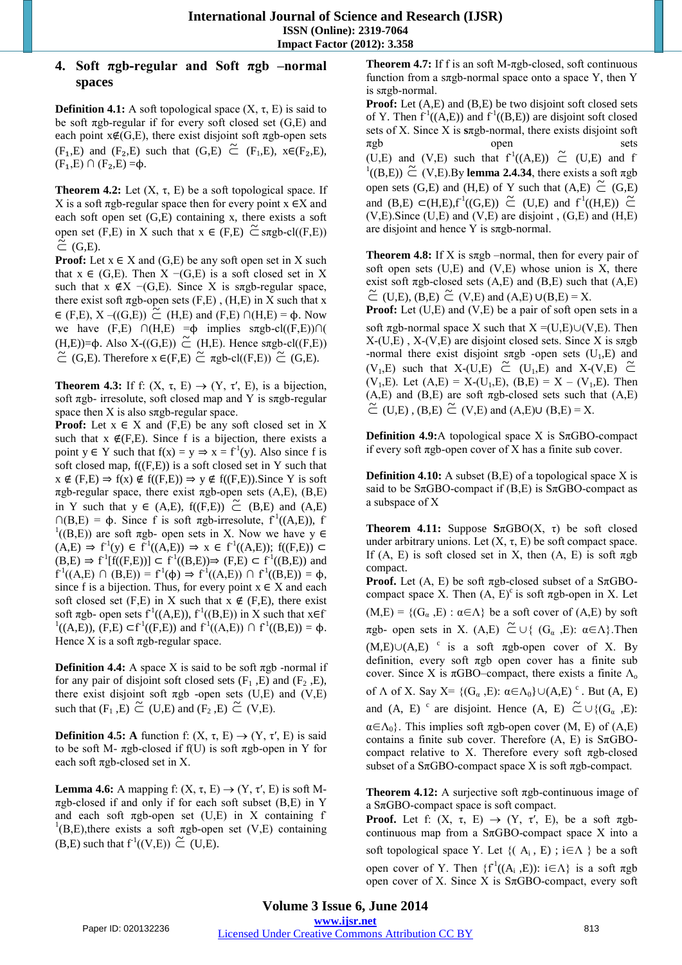## **4. Soft πgb-regular and Soft πgb –normal spaces**

**Definition 4.1:** A soft topological space  $(X, \tau, E)$  is said to be soft  $\pi$ gb-regular if for every soft closed set (G,E) and each point  $x \notin (G, E)$ , there exist disjoint soft  $\pi$ gb-open sets (F<sub>1</sub>,E) and (F<sub>2</sub>,E) such that (G,E)  $\tilde{C}$  (F<sub>1</sub>,E),  $x \in (F_2, E)$ ,  $(F_1,E) \cap (F_2,E) = \phi.$ 

**Theorem 4.2:** Let  $(X, \tau, E)$  be a soft topological space. If X is a soft  $\pi$ gb-regular space then for every point  $x \in X$  and each soft open set (G,E) containing x, there exists a soft open set (F,E) in X such that  $x \in (F,E) \tilde{\subset}$  sπgb-cl((F,E))  $\tilde{\subset}$  (G,E).

**Proof:** Let  $x \in X$  and  $(G,E)$  be any soft open set in X such that  $x \in (G, E)$ . Then  $X \neg (G, E)$  is a soft closed set in X such that  $x \notin X$  –(G,E). Since X is sπgb-regular space, there exist soft  $\pi$ gb-open sets (F,E), (H,E) in X such that x  $\in$  (F,E), X –((G,E))  $\tilde{C}$  (H,E) and (F,E) ∩(H,E) =  $\varphi$ . Now we have  $(F,E) \cap (H,E) = \phi$  implies  $\text{sgb-cl}((F,E)) \cap ($ (H,E))= $\Phi$ . Also X-((G,E))  $\tilde{C}$  (H,E). Hence sπgb-cl((F,E))  $\tilde{C}$  (G,E). Therefore  $x \in (F,E)$   $\tilde{C}$   $\pi$ gb-cl((F,E))  $\tilde{C}$  (G,E).

**Theorem 4.3:** If f:  $(X, \tau, E) \rightarrow (Y, \tau', E)$ , is a bijection, soft  $\pi$ gb- irresolute, soft closed map and Y is  $\pi$ gb-regular space then X is also  $\pi$ gb-regular space.

**Proof:** Let  $x \in X$  and  $(F,E)$  be any soft closed set in X such that  $x \notin (F,E)$ . Since f is a bijection, there exists a point  $y \in Y$  such that  $f(x) = y \Rightarrow x = f'(y)$ . Also since f is soft closed map,  $f(F,E)$  is a soft closed set in Y such that  $x \notin (F,E) \Rightarrow f(x) \notin f((F,E)) \Rightarrow y \notin f((F,E)).$  Since Y is soft πgb-regular space, there exist πgb-open sets (A,E), (B,E) in Y such that  $y \in (A,E)$ ,  $f((F,E)) \simeq (B,E)$  and  $(A,E)$  $\bigcap (B,E) = \phi$ . Since f is soft πgb-irresolute, f<sup>1</sup>((A,E)), f  $1((B, E))$  are soft  $\pi$ gb- open sets in X. Now we have y  $\in$  $(A,E) \Rightarrow f^{-1}(y) \in f^{-1}((A,E)) \Rightarrow x \in f^{-1}((A,E));$   $f((F,E)) \subset$  $(B,E) \Rightarrow f^{-1}[f((F,E))] \subset f^{-1}((B,E)) \Rightarrow (F,E) \subset f^{-1}((B,E))$  and  $f^1((A,E) \cap (B,E)) = f^1(\phi) \Rightarrow f^1((A,E)) \cap f^1((B,E)) = \phi,$ since f is a bijection. Thus, for every point  $x \in X$  and each soft closed set (F,E) in X such that  $x \notin$  (F,E), there exist soft  $\pi$ gb- open sets  $f^1((A,E))$ ,  $f^1((B,E))$  in X such that  $x \in f$ <sup>1</sup>((A,E)), (F,E) ⊂f<sup>1</sup>((F,E)) and f<sup>1</sup>((A,E)) ∩ f<sup>1</sup>((B,E)) = φ. Hence  $X$  is a soft  $\pi$ gb-regular space.

**Definition 4.4:** A space X is said to be soft  $\pi$ gb -normal if for any pair of disjoint soft closed sets  $(F_1, E)$  and  $(F_2, E)$ , there exist disjoint soft  $\pi$ gb -open sets (U,E) and (V,E) such that  $(F_1, E) \tilde{\subset}$  (U,E) and  $(F_2, E) \tilde{\subset}$  (V,E).

**Definition 4.5:** A function f:  $(X, \tau, E) \rightarrow (Y, \tau', E)$  is said to be soft M- πgb-closed if f(U) is soft πgb-open in Y for each soft  $\pi$ gb-closed set in X.

**Lemma 4.6:** A mapping f:  $(X, \tau, E) \rightarrow (Y, \tau', E)$  is soft M- $\pi$ gb-closed if and only if for each soft subset (B,E) in Y and each soft  $\pi$ gb-open set (U,E) in X containing f  ${}^{1}(B, E)$ , there exists a soft  $\pi$ gb-open set (V,E) containing (B,E) such that  $f^1((V,E)) \tilde{\subset} (U,E)$ .

**Theorem 4.7:** If f is an soft M-πgb-closed, soft continuous function from a s $\pi$ gb-normal space onto a space Y, then Y is sπgb-normal.

**Proof:** Let  $(A, E)$  and  $(B, E)$  be two disjoint soft closed sets of Y. Then  $f'((A,E))$  and  $f'((B,E))$  are disjoint soft closed sets of X. Since X is **s**πgb-normal, there exists disjoint soft πgb open sets (U,E) and (V,E) such that  $f^1((A,E)) \simeq$  (U,E) and f  $\frac{1}{1}((B,E)) \simeq (V,E)$ .By **lemma 2.4.34**, there exists a soft  $\pi$ gb open sets (G,E) and (H,E) of Y such that  $(A,E) \tilde{C}$  (G,E) and  $(B,E) \subset (H,E),f^{-1}((G,E)) \subset (U,E)$  and  $f^{-1}((H,E)) \subset (H,E)$  $(V,E)$ . Since  $(U,E)$  and  $(V,E)$  are disjoint,  $(G,E)$  and  $(H,E)$ are disjoint and hence Y is sπgb-normal.

**Theorem 4.8:** If X is sπgb –normal, then for every pair of soft open sets  $(U,E)$  and  $(V,E)$  whose union is X, there exist soft  $\pi$ gb-closed sets  $(A, E)$  and  $(B, E)$  such that  $(A, E)$  $\tilde{C}$  (U,E), (B,E)  $\tilde{C}$  (V,E) and (A,E) ∪(B,E) = X.

**Proof:** Let (U,E) and (V,E) be a pair of soft open sets in a soft  $\pi$ gb-normal space X such that  $X = (U,E) \cup (V,E)$ . Then  $X-(U,E)$ ,  $X-(V,E)$  are disjoint closed sets. Since X is s $\pi$ gb -normal there exist disjoint sπgb -open sets  $(U_1,E)$  and (V<sub>1</sub>,E) such that X-(U,E)  $\tilde{C}$  (U<sub>1</sub>,E) and X-(V,E)  $\tilde{C}$ (V<sub>1</sub>,E). Let  $(A,E) = X-(U_1,E)$ ,  $(B,E) = X - (V_1,E)$ . Then  $(A, E)$  and  $(B, E)$  are soft  $\pi$ gb-closed sets such that  $(A, E)$  $\tilde{C}$  (U,E), (B,E)  $\tilde{C}$  (V,E) and (A,E)∪ (B,E) = X.

**Definition 4.9:**A topological space X is SπGBO-compact if every soft πgb-open cover of X has a finite sub cover.

**Definition 4.10:** A subset (B,E) of a topological space X is said to be  $S\pi$ GBO-compact if (B,E) is  $S\pi$ GBO-compact as a subspace of X

**Theorem 4.11:** Suppose **S**πGBO(X, τ) be soft closed under arbitrary unions. Let  $(X, \tau, E)$  be soft compact space. If  $(A, E)$  is soft closed set in X, then  $(A, E)$  is soft  $\pi$ gb compact.

**Proof.** Let  $(A, E)$  be soft  $\pi$ gb-closed subset of a S $\pi$ GBOcompact space X. Then  $(A, E)^c$  is soft  $\pi$ gb-open in X. Let  $(M,E) = \{ (G_\alpha, E) : \alpha \in \Lambda \}$  be a soft cover of  $(A,E)$  by soft  $\pi$ gb- open sets in X. (A,E)  $\tilde{C} \cup \{ (G_{\alpha}, E) : \alpha \in \Lambda \}$ . Then  $(M,E) \cup (A,E)$  cis a soft πgb-open cover of X. By definition, every soft πgb open cover has a finite sub cover. Since X is  $\pi$ GBO–compact, there exists a finite Λ<sub>o</sub> of  $\Lambda$  of X. Say X=  $\{(G_{\alpha}, E): \alpha \in \Lambda_0\} \cup (A, E)^c$ . But  $(A, E)$ and (A, E)  $\circ$  are disjoint. Hence (A, E)  $\tilde{\subset} \cup \{(G_{\alpha}, E) :$  $\alpha \in \Lambda_0$ . This implies soft πgb-open cover (M, E) of (A,E) contains a finite sub cover. Therefore  $(A, E)$  is  $S\pi$ GBOcompact relative to X. Therefore every soft  $\pi$ gb-closed subset of a  $S_{\pi}$ GBO-compact space X is soft  $\pi$ gb-compact.

**Theorem 4.12:** A surjective soft πgb-continuous image of a  $S_{\pi}$ GBO-compact space is soft compact.

**Proof.** Let f:  $(X, \tau, E) \rightarrow (Y, \tau', E)$ , be a soft  $\pi g b$ continuous map from a  $S_{\pi}$ GBO-compact space X into a soft topological space Y. Let  $\{({\bf A}_i, {\bf E})\; ; \; i \in \Lambda \}$  be a soft open cover of Y. Then  ${f<sup>1</sup>((A<sub>i</sub>, E)) : i \in Λ}$  is a soft πgb open cover of X. Since X is  $S_{\pi}$ GBO-compact, every soft